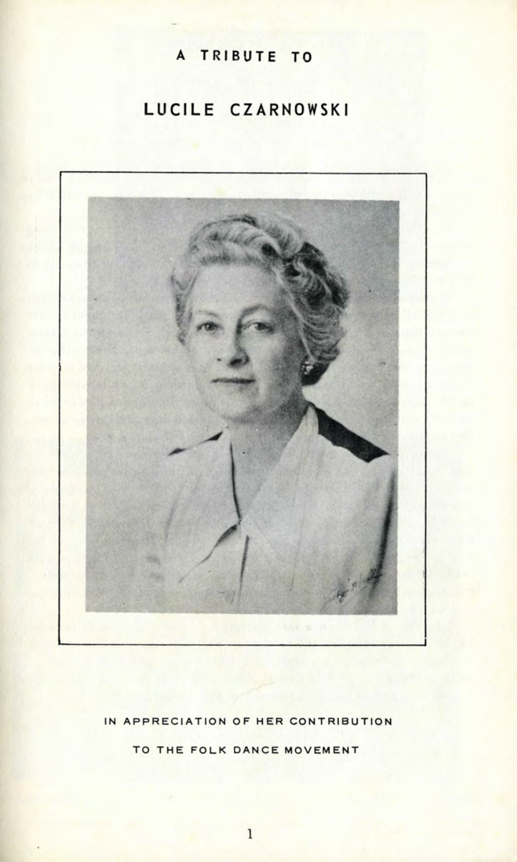## A TRIBUTE TO

## LUCILE CZARNOWSKI



IN APPRECIATION OF HER CONTRIBUTION

TO THE FOLK DANCE MOVEMENT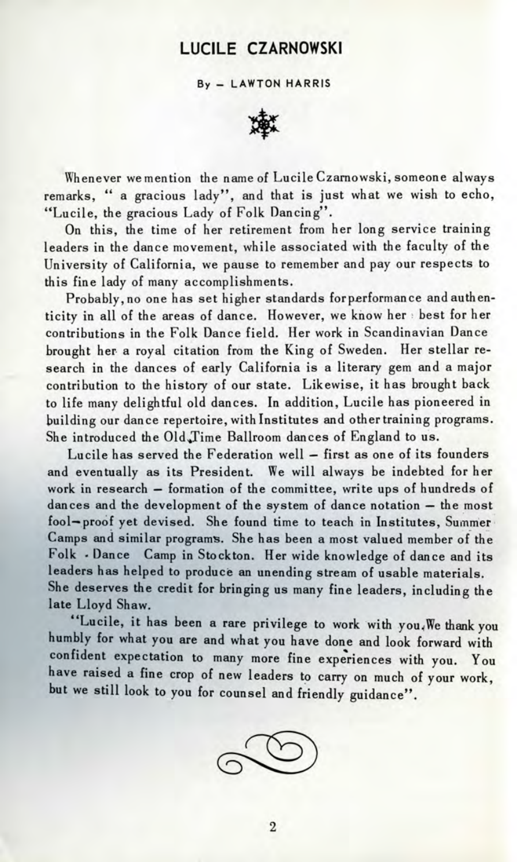## LUCILE CZARNOWSKI

By - LAWTON HARRIS



Whenever we mention the name of Lucile Czarnowski, someone always remarks, " a gracious lady", and that is just what we wish to echo, "Lucile, the gracious Lady of Folk Dancing".

On this, the time of her retirement from her long service training leaders in the dance movement, while associated with the faculty of the University of California, we pause to remember and pay our respects to this fine lady of many accomplishments.

Probably, no one has set higher standards for performance and authenticity in all of the areas of dance. However, we know her best for her contributions in the Folk Dance field. Her work in Scandinavian Dance brought her a royal citation from the King of Sweden. Her stellar research in the dances of early California is a literary gem and a major contribution to the history of our state. Likewise, it has brought back to life many delightful old dances. In addition, Lucile has pioneered in building our dance repertoire, with Institutes and other training programs. She introduced the Old Jime Ballroom dances of England to us.

Lucile has served the Federation well — first as one of its founders and eventually as its President. We will always be indebted for her work in research — formation of the committee, write ups of hundreds of dances and the development of the system of dance notation — the most fool—proof yet devised. She found time to teach in Institutes, Summer Camps and similar programs. She has been a most valued member of the Folk - Dance Camp in Stockton. Her wide knowledge of dance and its leaders has helped to produce an unending stream of usable materials. She deserves the credit for bringing us many fine leaders, including the late Lloyd Shaw.

"Lucile, it has been a rare privilege to work with you,,We thank you humbly for what you are and what you have done and look forward with confident expectation to many more fine experiences with you. You have raised a fine crop of new leaders to carry on much of your work, but we still look to you for counsel and friendly guidance".

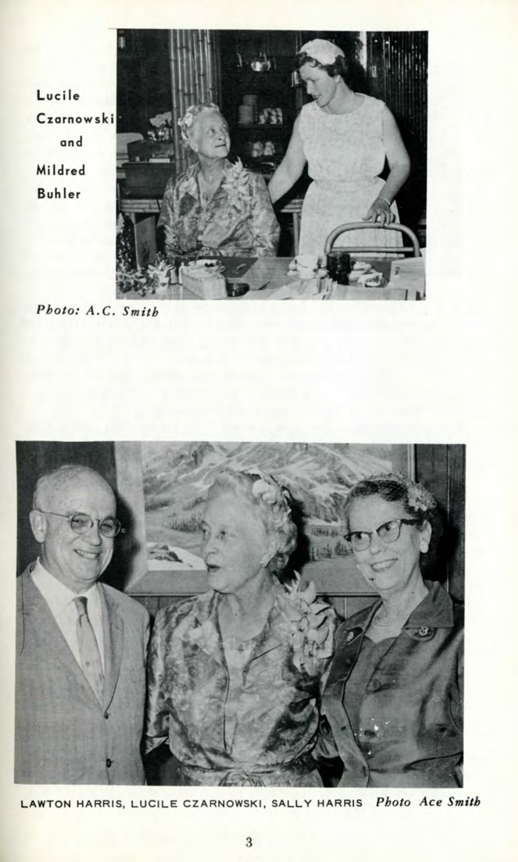Lucile Czarnowski and Mildred **Buhler** 



*Photo: A.C. Smith*



LAWTON HARRIS, LUCILE CZARNOWSKI, SALLY HARRIS Photo Ace Smith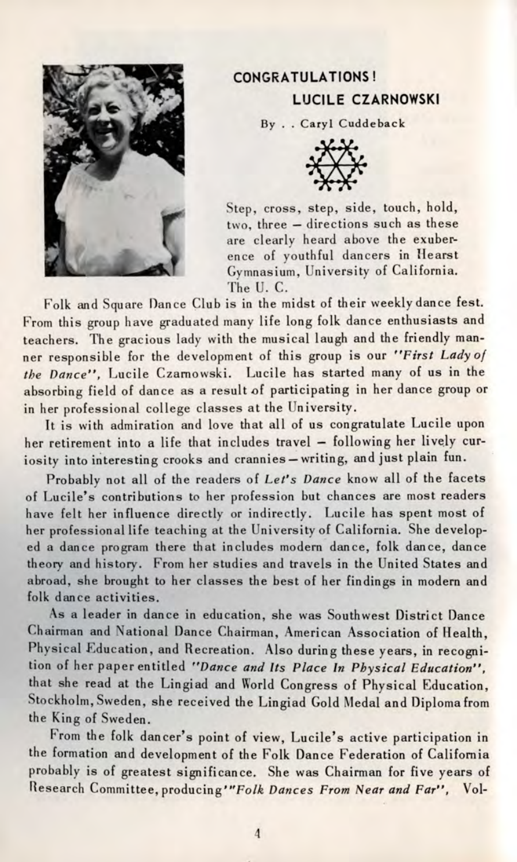

## **CONGRATULATIONS! LUCILE CZARNOWSKI**

**By . . Caryl Cuddeback**



Step, cross, step, side, touch, hold, two, three — directions such as these are clearly heard above the exuberence of youthful dancers in Hearst Gymnasium, University of California. The U. C.

Folk and Square Dance Club is in the midst of their weekly dance fest. From this group have graduated many life long folk dance enthusiasts and teachers. The gracious lady with the musical laugh and the friendly manner responsible for the development of this group is our *"First Lady of the Dance",* Lucile Czarnowski. Lucile has started many of us in the absorbing field of dance as a result of participating in her dance group or in her professional college classes at the University.

It is with admiration and love that all of us congratulate Lucile upon her retirement into a life that includes travel — following her lively curiosity into interesting crooks and crannies —writing, and just plain fun.

Probably not all of the readers of *Let's Dance* know all of the facets of Lucile's contributions to her profession but chances are most readers have felt her influence directly or indirectly. Lucile has spent most of her professional life teaching at the University of California. She developed a dance program there that includes modern dance, folk dance, dance theory and history. From her studies and travels in the United States and abroad, she brought to her classes the best of her findings in modern and folk dance activities.

As a leader in dance in education, she was Southwest District Dance Chairman and National Dance Chairman, American Association of Health, Physical Education, and Recreation. Also during these years, in recognition of her paper entitled *"Dance and Its Place In Physical Education",* that she read at the Lingiad and World Congress of Physical Education, Stockholm, Sweden, she received the Lingiad Gold Medal and Diploma from the King of Sweden.

From the folk dancer's point of view, Lucile's active participation in the formation and development of the Folk Dance Federation of California probably is of greatest significance. She was Chairman for five years of Research Committee, producing'"Fo/& *Dances From Near and Far",* Vol-

 $\overline{4}$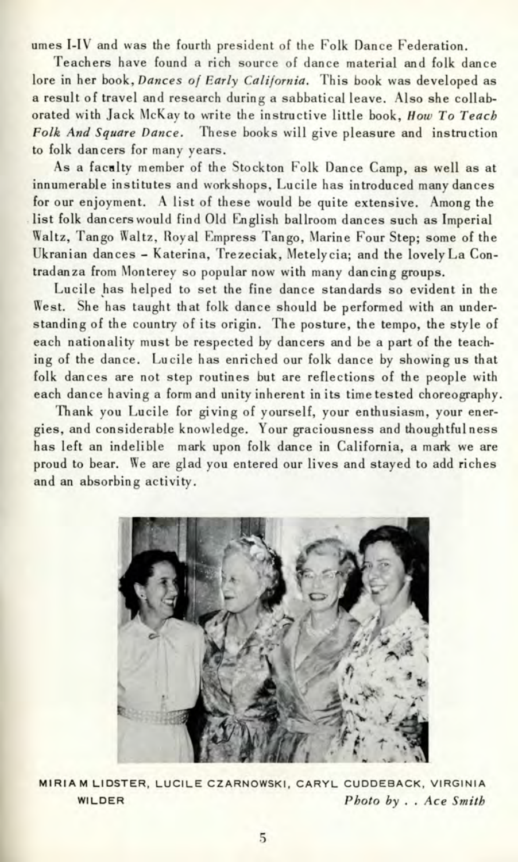umes I-IV and was the fourth president of the Polk Dance Federation.

Teachers have found a rich source of dance material and folk dance lore in her book, *Dances of Early California.* This book was developed as a result of travel and research during a sabbatical leave. Also she collaborated with Jack McKay to write the instructive little book, *How To Teach Folk And Square Dance.* These books will give pleasure and instruction to folk dancers for many years.

As a faculty member of the Stockton Folk Dance Camp, as well as at innumerable institutes and workshops, Lucile has introduced many dances for our enjoyment. A list of these would be quite extensive. Among the list folk dancers would find Old English ballroom dances such as Imperial Waltz, Tango Waltz, Royal Empress Tango, Marine Four Step; some of the Ukranian dances - Katerina, Trezeciak, Metelycia; and the lovely La Contradanza from Monterey so popular now with many dancing groups.

Lucile has helped to set the fine dance standards so evident in the West. She has taught that folk dance should be performed with an understanding of the country of its origin. The posture, the tempo, the style of each nationality must be respected by dancers and be a part of the teaching of the dance. Lucile has enriched our folk dance by showing us that folk dances are not step routines but are reflections of the people with each dance having a form and unity inherent in its time tested choreography.

Thank you Lucile for giving of yourself, your enthusiasm, your energies, and considerable knowledge. Your graciousness and thoughtful ness has left an indelible mark upon folk dance in California, a mark we are proud to bear. We are glad you entered our lives and stayed to add riches and an absorbing activity.



MIRIA M LIDSTER, LUCILE CZARNOWSKI, CARYL CUDDEBACK, VIRGINIA WILDER *Photo by . . Ace Smith*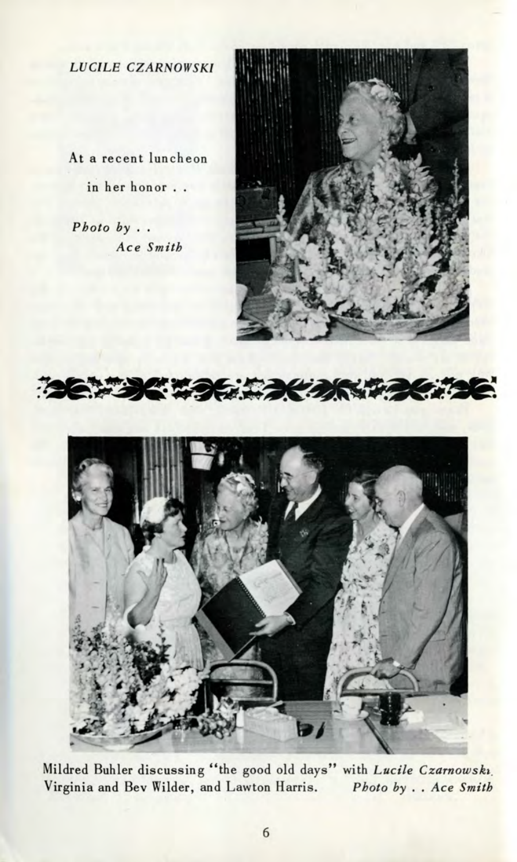*LUCILE CZARNOWSKI*

At a recent luncheon in her honor . .

*Photo by . . Ace Smith*







Mildred Buhler discussing "the good old days" with *Lucile Czarnowski.* Virginia and Bev Wilder, and Lawton Harris. *Photo by* . . *Ace Smith*